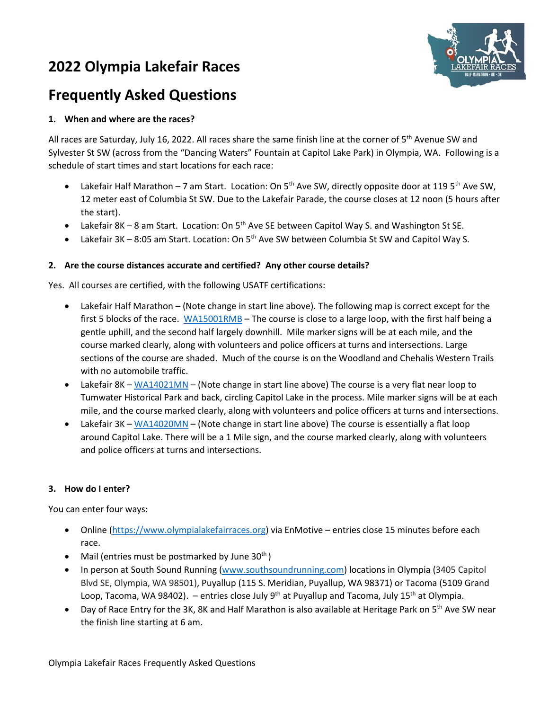# **2022 Olympia Lakefair Races**



## **Frequently Asked Questions**

## **1. When and where are the races?**

All races are Saturday, July 16, 2022. All races share the same finish line at the corner of 5<sup>th</sup> Avenue SW and Sylvester St SW (across from the "Dancing Waters" Fountain at Capitol Lake Park) in Olympia, WA. Following is a schedule of start times and start locations for each race:

- Lakefair Half Marathon 7 am Start. Location: On 5<sup>th</sup> Ave SW, directly opposite door at 119 5<sup>th</sup> Ave SW, 12 meter east of Columbia St SW. Due to the Lakefair Parade, the course closes at 12 noon (5 hours after the start).
- Lakefair 8K 8 am Start. Location: On 5<sup>th</sup> Ave SE between Capitol Way S. and Washington St SE.
- Lakefair 3K 8:05 am Start. Location: On 5<sup>th</sup> Ave SW between Columbia St SW and Capitol Way S.

#### **2. Are the course distances accurate and certified? Any other course details?**

Yes. All courses are certified, with the following USATF certifications:

- Lakefair Half Marathon (Note change in start line above). The following map is correct except for the first 5 blocks of the race. [WA15001RMB](http://www.usatf.org/events/courses/maps/showMap.asp?courseID=WA15001RMB) – The course is close to a large loop, with the first half being a gentle uphill, and the second half largely downhill. Mile marker signs will be at each mile, and the course marked clearly, along with volunteers and police officers at turns and intersections. Large sections of the course are shaded. Much of the course is on the Woodland and Chehalis Western Trails with no automobile traffic.
- Lakefair 8K [WA14021MN](http://www.usatf.org/events/courses/maps/showMap.asp?courseID=WA14021MN) (Note change in start line above) The course is a very flat near loop to Tumwater Historical Park and back, circling Capitol Lake in the process. Mile marker signs will be at each mile, and the course marked clearly, along with volunteers and police officers at turns and intersections.
- Lakefair 3K [WA14020MN](http://www.usatf.org/events/courses/maps/showMap.asp?courseID=WA14020MN) (Note change in start line above) The course is essentially a flat loop around Capitol Lake. There will be a 1 Mile sign, and the course marked clearly, along with volunteers and police officers at turns and intersections.

#### **3. How do I enter?**

You can enter four ways:

- Online [\(https://www.olympialakefairraces.org\)](https://www.olympialakefairraces.org/) via EnMotive entries close 15 minutes before each race.
- Mail (entries must be postmarked by June  $30<sup>th</sup>$ )
- In person at South Sound Running [\(www.southsoundrunning.com\)](http://www.southsoundrunning.com/) locations in Olympia (3405 Capitol Blvd SE, Olympia, WA 98501), Puyallup (115 S. Meridian, Puyallup, WA 98371) or Tacoma (5109 Grand Loop, Tacoma, WA 98402). – entries close July 9<sup>th</sup> at Puyallup and Tacoma, July 15<sup>th</sup> at Olympia.
- Day of Race Entry for the 3K, 8K and Half Marathon is also available at Heritage Park on 5<sup>th</sup> Ave SW near the finish line starting at 6 am.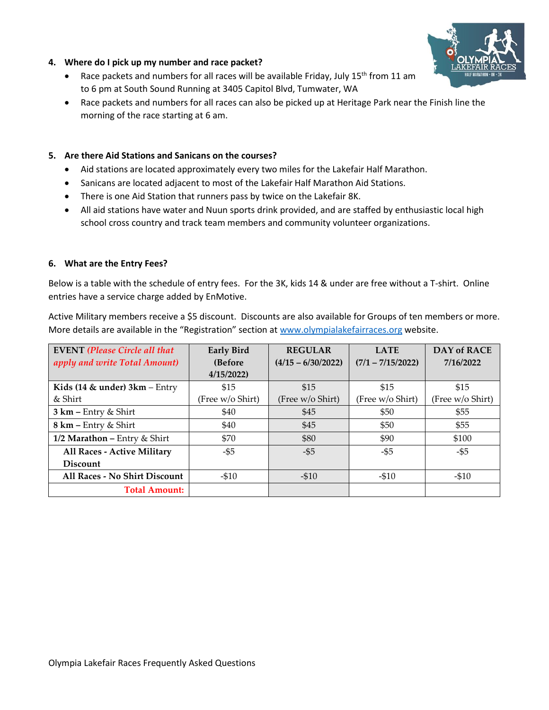

#### **4. Where do I pick up my number and race packet?**

- Race packets and numbers for all races will be available Friday, July 15<sup>th</sup> from 11 am to 6 pm at South Sound Running at 3405 Capitol Blvd, Tumwater, WA
- Race packets and numbers for all races can also be picked up at Heritage Park near the Finish line the morning of the race starting at 6 am.

#### **5. Are there Aid Stations and Sanicans on the courses?**

- Aid stations are located approximately every two miles for the Lakefair Half Marathon.
- Sanicans are located adjacent to most of the Lakefair Half Marathon Aid Stations.
- There is one Aid Station that runners pass by twice on the Lakefair 8K.
- All aid stations have water and Nuun sports drink provided, and are staffed by enthusiastic local high school cross country and track team members and community volunteer organizations.

#### **6. What are the Entry Fees?**

Below is a table with the schedule of entry fees. For the 3K, kids 14 & under are free without a T-shirt. Online entries have a service charge added by EnMotive.

Active Military members receive a \$5 discount. Discounts are also available for Groups of ten members or more. More details are available in the "Registration" section at [www.olympialakefairraces.org](http://www.olympialakefairraces.org/) website.

| <b>EVENT</b> (Please Circle all that | <b>Early Bird</b> | <b>REGULAR</b>       | <b>LATE</b>         | <b>DAY of RACE</b> |
|--------------------------------------|-------------------|----------------------|---------------------|--------------------|
| apply and write Total Amount)        | (Before           | $(4/15 - 6/30/2022)$ | $(7/1 - 7/15/2022)$ | 7/16/2022          |
|                                      | 4/15/2022         |                      |                     |                    |
| Kids (14 $\&$ under) 3 $km - E$ ntry | \$15              | \$15                 | \$15                | \$15               |
| & Shirt                              | (Free w/o Shirt)  | (Free w/o Shirt)     | (Free w/o Shirt)    | (Free w/o Shirt)   |
| $3 km - Entry & Shirt$               | \$40              | \$45                 | \$50                | \$55               |
| $8 \text{ km}$ – Entry & Shirt       | \$40              | \$45                 | \$50                | \$55               |
| 1/2 Marathon - Entry & Shirt         | \$70              | \$80                 | \$90                | \$100              |
| All Races - Active Military          | -\$5              | $-$ \$5              | -\$5                | -\$5               |
| Discount                             |                   |                      |                     |                    |
| All Races - No Shirt Discount        | $-510$            | $-510$               | $- $10$             | $- $10$            |
| <b>Total Amount:</b>                 |                   |                      |                     |                    |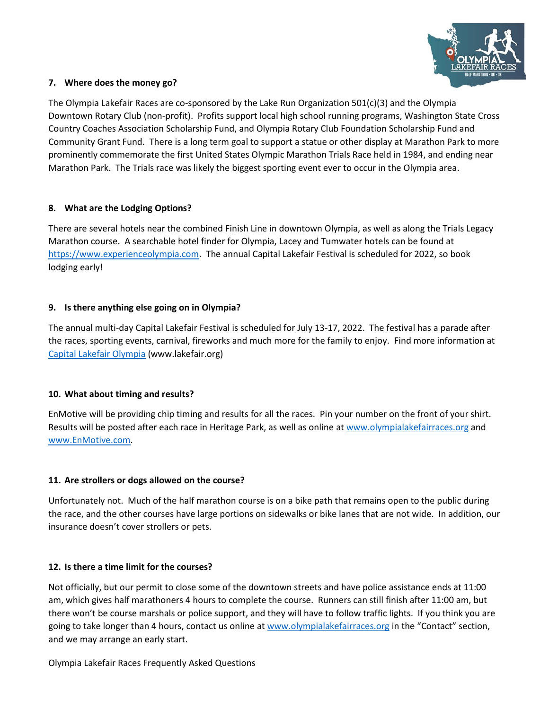

#### **7. Where does the money go?**

The Olympia Lakefair Races are co-sponsored by the Lake Run Organization 501(c)(3) and the Olympia Downtown Rotary Club (non-profit). Profits support local high school running programs, Washington State Cross Country Coaches Association Scholarship Fund, and Olympia Rotary Club Foundation Scholarship Fund and Community Grant Fund. There is a long term goal to support a statue or other display at Marathon Park to more prominently commemorate the first United States Olympic Marathon Trials Race held in 1984, and ending near Marathon Park. The Trials race was likely the biggest sporting event ever to occur in the Olympia area.

## **8. What are the Lodging Options?**

There are several hotels near the combined Finish Line in downtown Olympia, as well as along the Trials Legacy Marathon course. A searchable hotel finder for Olympia, Lacey and Tumwater hotels can be found at [https://www.experienceolympia.com.](https://www.experienceolympia.com/hotels/hotels/) The annual Capital Lakefair Festival is scheduled for 2022, so book lodging early!

#### **9. Is there anything else going on in Olympia?**

The annual multi-day Capital Lakefair Festival is scheduled for July 13-17, 2022. The festival has a parade after the races, sporting events, carnival, fireworks and much more for the family to enjoy. Find more information at [Capital Lakefair Olympia](https://www.lakefair.org/?msclkid=fa07f519ac8211ecb3aa97403cbac90c) (www.lakefair.org)

#### **10. What about timing and results?**

EnMotive will be providing chip timing and results for all the races. Pin your number on the front of your shirt. Results will be posted after each race in Heritage Park, as well as online at [www.olympialakefairraces.org](https://cascadeenergyinc-my.sharepoint.com/personal/bob_brennand_energysmartindustrial_com/Documents/User%20Profile/Documents/aaBob%20-%20old%20PC/Run%20Meas/OLR%202019/Website/www.olympialakefairraces.org) and [www.EnMotive.com.](https://cascadeenergyinc-my.sharepoint.com/personal/bob_brennand_energysmartindustrial_com/Documents/User%20Profile/Documents/aaBob%20-%20old%20PC/Running%20Measurement/OLR%202018/www.racewire.com)

## **11. Are strollers or dogs allowed on the course?**

Unfortunately not. Much of the half marathon course is on a bike path that remains open to the public during the race, and the other courses have large portions on sidewalks or bike lanes that are not wide. In addition, our insurance doesn't cover strollers or pets.

#### **12. Is there a time limit for the courses?**

Not officially, but our permit to close some of the downtown streets and have police assistance ends at 11:00 am, which gives half marathoners 4 hours to complete the course. Runners can still finish after 11:00 am, but there won't be course marshals or police support, and they will have to follow traffic lights. If you think you are going to take longer than 4 hours, contact us online at [www.olympialakefairraces.org](https://cascadeenergyinc-my.sharepoint.com/personal/bob_brennand_energysmartindustrial_com/Documents/User%20Profile/Documents/aaBob%20-%20old%20PC/Run%20Meas/OLR%202019/Website/www.olympialakefairraces.org) in the "Contact" section, and we may arrange an early start.

Olympia Lakefair Races Frequently Asked Questions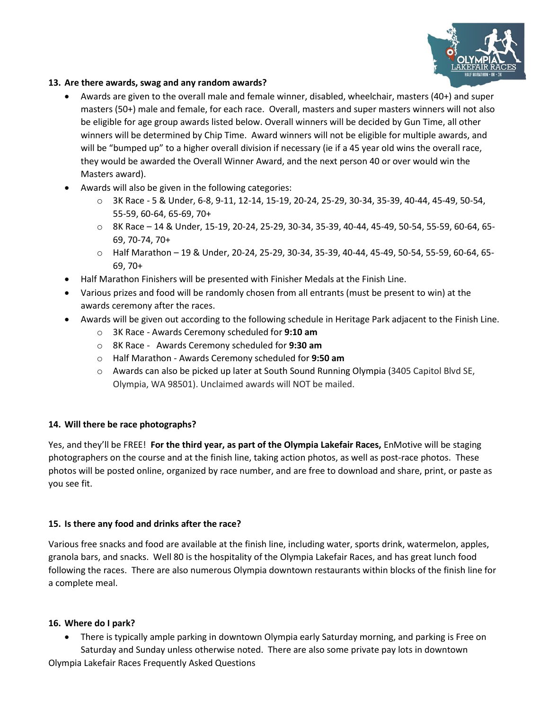

#### **13. Are there awards, swag and any random awards?**

- Awards are given to the overall male and female winner, disabled, wheelchair, masters (40+) and super masters (50+) male and female, for each race. Overall, masters and super masters winners will not also be eligible for age group awards listed below. Overall winners will be decided by Gun Time, all other winners will be determined by Chip Time. Award winners will not be eligible for multiple awards, and will be "bumped up" to a higher overall division if necessary (ie if a 45 year old wins the overall race, they would be awarded the Overall Winner Award, and the next person 40 or over would win the Masters award).
- Awards will also be given in the following categories:
	- o 3K Race 5 & Under, 6-8, 9-11, 12-14, 15-19, 20-24, 25-29, 30-34, 35-39, 40-44, 45-49, 50-54, 55-59, 60-64, 65-69, 70+
	- o 8K Race 14 & Under, 15-19, 20-24, 25-29, 30-34, 35-39, 40-44, 45-49, 50-54, 55-59, 60-64, 65- 69, 70-74, 70+
	- o Half Marathon 19 & Under, 20-24, 25-29, 30-34, 35-39, 40-44, 45-49, 50-54, 55-59, 60-64, 65- 69, 70+
- Half Marathon Finishers will be presented with Finisher Medals at the Finish Line.
- Various prizes and food will be randomly chosen from all entrants (must be present to win) at the awards ceremony after the races.
- Awards will be given out according to the following schedule in Heritage Park adjacent to the Finish Line.
	- o 3K Race Awards Ceremony scheduled for **9:10 am**
	- o 8K Race Awards Ceremony scheduled for **9:30 am**
	- o Half Marathon Awards Ceremony scheduled for **9:50 am**
	- o Awards can also be picked up later at South Sound Running Olympia (3405 Capitol Blvd SE, Olympia, WA 98501). Unclaimed awards will NOT be mailed.

## **14. Will there be race photographs?**

Yes, and they'll be FREE! **For the third year, as part of the Olympia Lakefair Races,** EnMotive will be staging photographers on the course and at the finish line, taking action photos, as well as post-race photos. These photos will be posted online, organized by race number, and are free to download and share, print, or paste as you see fit.

## **15. Is there any food and drinks after the race?**

Various free snacks and food are available at the finish line, including water, sports drink, watermelon, apples, granola bars, and snacks. Well 80 is the hospitality of the Olympia Lakefair Races, and has great lunch food following the races. There are also numerous Olympia downtown restaurants within blocks of the finish line for a complete meal.

#### **16. Where do I park?**

• There is typically ample parking in downtown Olympia early Saturday morning, and parking is Free on Saturday and Sunday unless otherwise noted. There are also some private pay lots in downtown

Olympia Lakefair Races Frequently Asked Questions